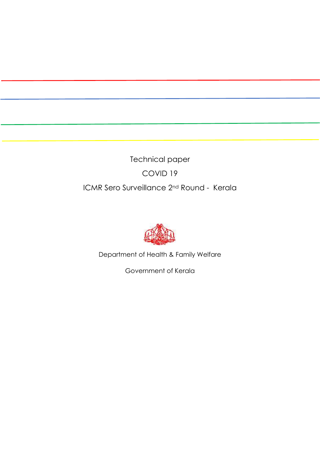Technical paper COVID 19 ICMR Sero Surveillance 2nd Round - Kerala



Department of Health & Family Welfare

Government of Kerala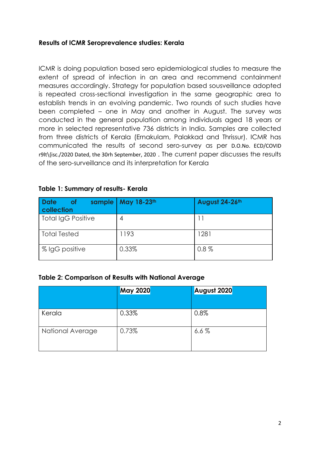## **Results of ICMR Seroprevalence studies: Kerala**

ICMR is doing population based sero epidemiological studies to measure the extent of spread of infection in an area and recommend containment measures accordingly. Strategy for population based sousveillance adopted is repeated cross-sectional investigation in the same geographic area to establish trends in an evolving pandemic. Two rounds of such studies have been completed – one in May and another in August. The survey was conducted in the general population among individuals aged 18 years or more in selected representative 736 districts in India. Samples are collected from three districts of Kerala (Ernakulam, Palakkad and Thrissur). ICMR has communicated the results of second sero-survey as per D.O.No. ECD/COVID r9lt\{isc./2020 Dated, the 30rh September, 2020 . The current paper discusses the results of the sero-surveillance and its interpretation for Kerala

| <b>Date</b><br><b>of</b><br>sample  <br>collection | May 18-23th | August 24-26th |
|----------------------------------------------------|-------------|----------------|
| <b>Total IgG Positive</b>                          | 4           |                |
| <b>Total Tested</b>                                | 1193        | 1281           |
| % IgG positive                                     | 0.33%       | $0.8\%$        |

### **Table 1: Summary of results- Kerala**

#### **Table 2: Comparison of Results with National Average**

|                  | <b>May 2020</b> | August 2020 |
|------------------|-----------------|-------------|
|                  |                 |             |
| Kerala           | 0.33%           | 0.8%        |
| National Average | 0.73%           | 6.6%        |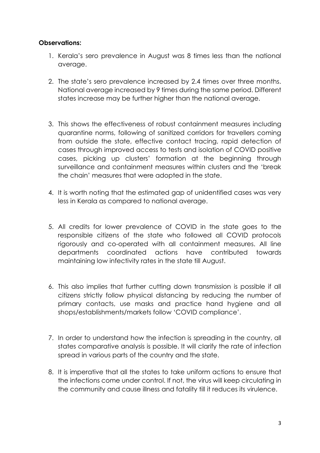## **Observations:**

- 1. Kerala's sero prevalence in August was 8 times less than the national average.
- 2. The state's sero prevalence increased by 2.4 times over three months. National average increased by 9 times during the same period. Different states increase may be further higher than the national average.
- 3. This shows the effectiveness of robust containment measures including quarantine norms, following of sanitized corridors for travellers coming from outside the state, effective contact tracing, rapid detection of cases through improved access to tests and isolation of COVID positive cases, picking up clusters' formation at the beginning through surveillance and containment measures within clusters and the 'break the chain' measures that were adopted in the state.
- 4. It is worth noting that the estimated gap of unidentified cases was very less in Kerala as compared to national average.
- 5. All credits for lower prevalence of COVID in the state goes to the responsible citizens of the state who followed all COVID protocols rigorously and co-operated with all containment measures. All line departments coordinated actions have contributed towards maintaining low infectivity rates in the state till August.
- 6. This also implies that further cutting down transmission is possible if all citizens strictly follow physical distancing by reducing the number of primary contacts, use masks and practice hand hygiene and all shops/establishments/markets follow 'COVID compliance'.
- 7. In order to understand how the infection is spreading in the country, all states comparative analysis is possible. It will clarify the rate of infection spread in various parts of the country and the state.
- 8. It is imperative that all the states to take uniform actions to ensure that the infections come under control. If not, the virus will keep circulating in the community and cause illness and fatality till it reduces its virulence.